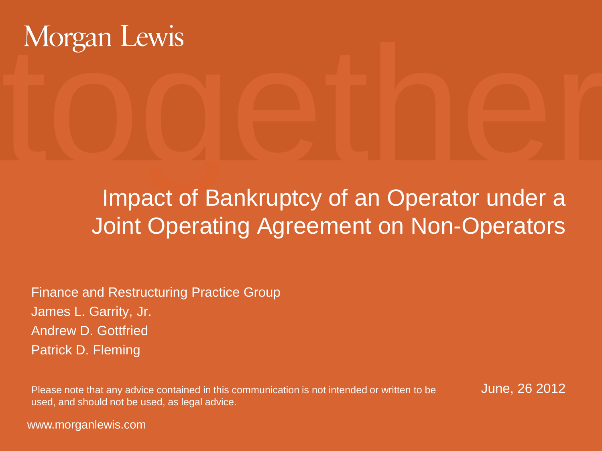

#### Impact of Bankruptcy of an Operator under a Joint Operating Agreement on Non-Operators

Finance and Restructuring Practice Group James L. Garrity, Jr. Andrew D. Gottfried Patrick D. Fleming

Please note that any advice contained in this communication is not intended or written to be June, 26 2012 used, and should not be used, as legal advice.

www.morganlewis.com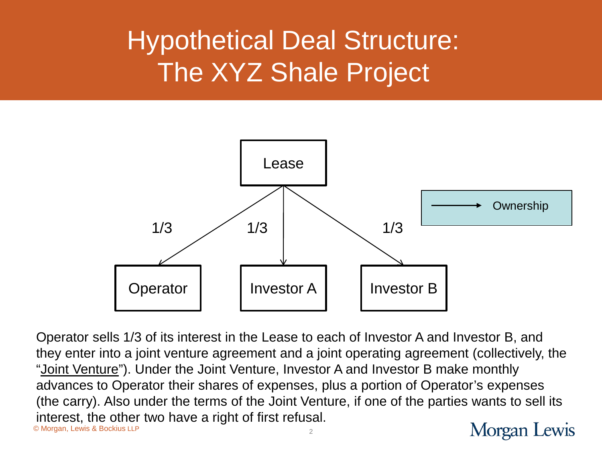## Hypothetical Deal Structure: The XYZ Shale Project



© Morgan, Lewis & Bockius LLP Operator sells 1/3 of its interest in the Lease to each of Investor A and Investor B, and they enter into a joint venture agreement and a joint operating agreement (collectively, the "Joint Venture"). Under the Joint Venture, Investor A and Investor B make monthly advances to Operator their shares of expenses, plus a portion of Operator's expenses (the carry). Also under the terms of the Joint Venture, if one of the parties wants to sell its interest, the other two have a right of first refusal.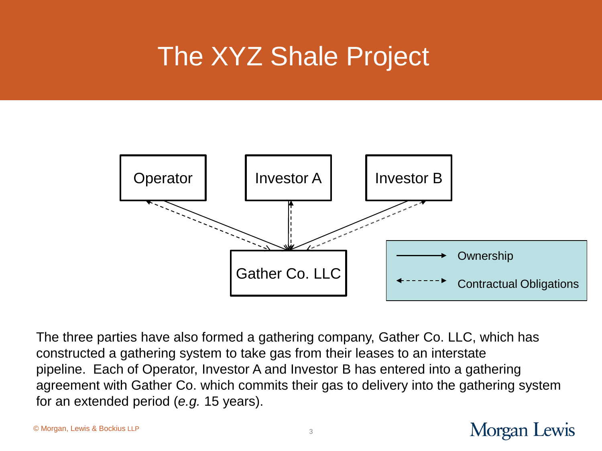## The XYZ Shale Project



The three parties have also formed a gathering company, Gather Co. LLC, which has constructed a gathering system to take gas from their leases to an interstate pipeline. Each of Operator, Investor A and Investor B has entered into a gathering agreement with Gather Co. which commits their gas to delivery into the gathering system for an extended period (*e.g.* 15 years).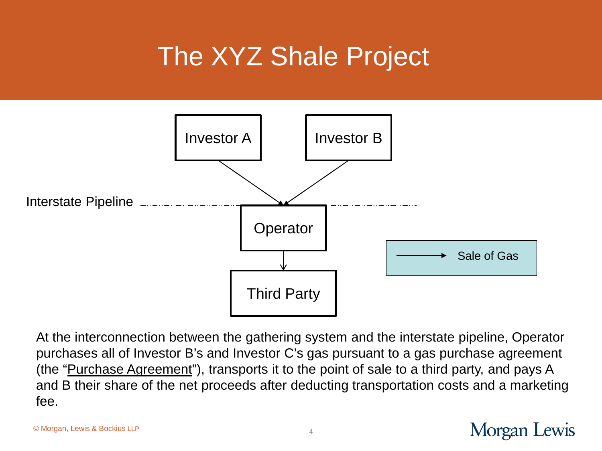## The XYZ Shale Project



At the interconnection between the gathering system and the interstate pipeline, Operator purchases all of Investor B's and Investor C's gas pursuant to a gas purchase agreement (the "Purchase Agreement"), transports it to the point of sale to a third party, and pays A and B their share of the net proceeds after deducting transportation costs and a marketing fee.

#### © Morgan, Lewis & Bockius LLP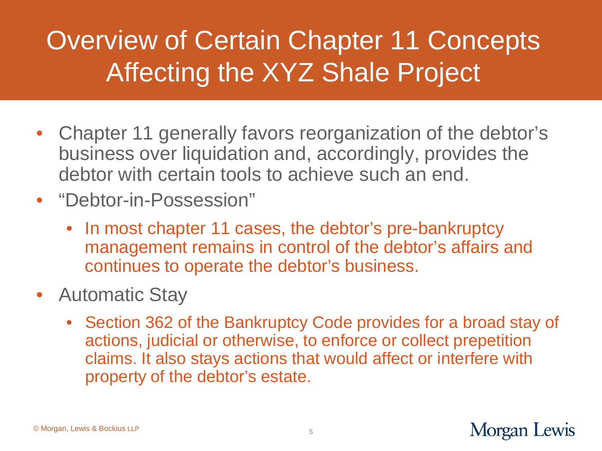# Overview of Certain Chapter 11 Concepts Affecting the XYZ Shale Project

- Chapter 11 generally favors reorganization of the debtor's business over liquidation and, accordingly, provides the debtor with certain tools to achieve such an end.
- "Debtor-in-Possession"
	- In most chapter 11 cases, the debtor's pre-bankruptcy management remains in control of the debtor's affairs and continues to operate the debtor's business.
- Automatic Stay
	- Section 362 of the Bankruptcy Code provides for a broad stay of actions, judicial or otherwise, to enforce or collect prepetition claims. It also stays actions that would affect or interfere with property of the debtor's estate.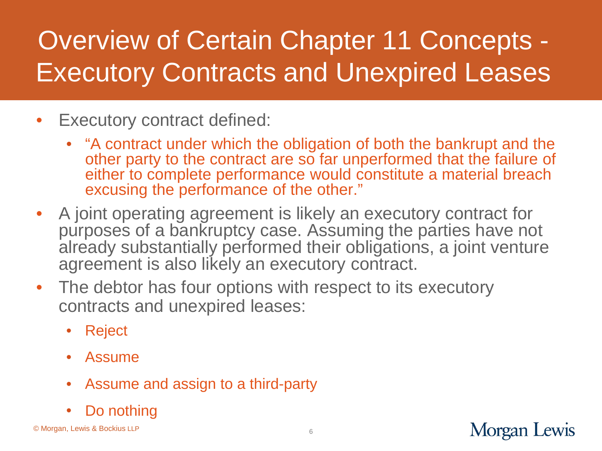- Executory contract defined:
	- "A contract under which the obligation of both the bankrupt and the other party to the contract are so far unperformed that the failure of either to complete performance would constitute a material breach excusing the performance of the other."
- A joint operating agreement is likely an executory contract for purposes of a bankruptcy case. Assuming the parties have not already substantially performed their obligations, a joint venture agreement is also likely an executory contract.
- The debtor has four options with respect to its executory contracts and unexpired leases:
	- Reject
	- Assume
	- Assume and assign to a third-party
	- Do nothing

© Morgan, Lewis & Bockius LLP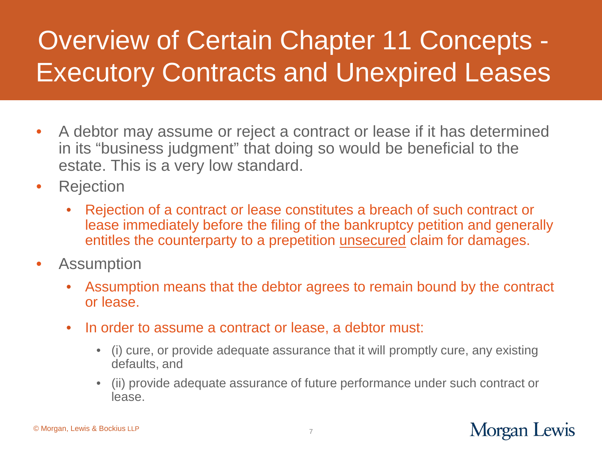- A debtor may assume or reject a contract or lease if it has determined in its "business judgment" that doing so would be beneficial to the estate. This is a very low standard.
- Rejection
	- Rejection of a contract or lease constitutes a breach of such contract or lease immediately before the filing of the bankruptcy petition and generally entitles the counterparty to a prepetition unsecured claim for damages.
- Assumption
	- Assumption means that the debtor agrees to remain bound by the contract or lease.
	- In order to assume a contract or lease, a debtor must:
		- (i) cure, or provide adequate assurance that it will promptly cure, any existing defaults, and
		- (ii) provide adequate assurance of future performance under such contract or lease.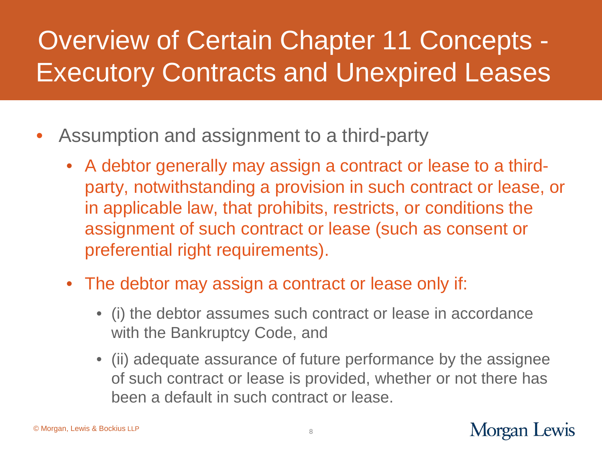- Assumption and assignment to a third-party
	- A debtor generally may assign a contract or lease to a thirdparty, notwithstanding a provision in such contract or lease, or in applicable law, that prohibits, restricts, or conditions the assignment of such contract or lease (such as consent or preferential right requirements).
	- The debtor may assign a contract or lease only if:
		- (i) the debtor assumes such contract or lease in accordance with the Bankruptcy Code, and
		- (ii) adequate assurance of future performance by the assignee of such contract or lease is provided, whether or not there has been a default in such contract or lease.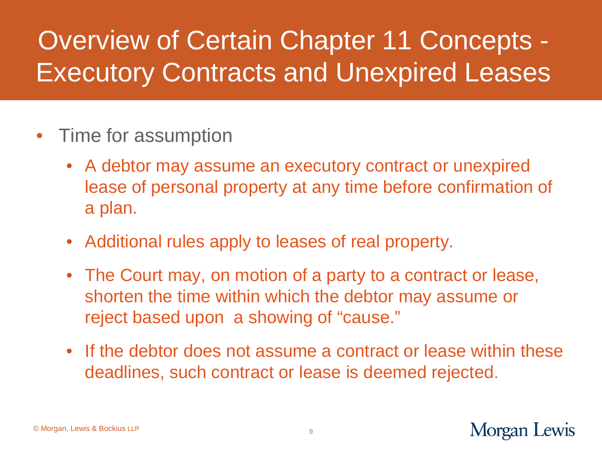#### • Time for assumption

- A debtor may assume an executory contract or unexpired lease of personal property at any time before confirmation of a plan.
- Additional rules apply to leases of real property.
- The Court may, on motion of a party to a contract or lease, shorten the time within which the debtor may assume or reject based upon a showing of "cause."
- If the debtor does not assume a contract or lease within these deadlines, such contract or lease is deemed rejected.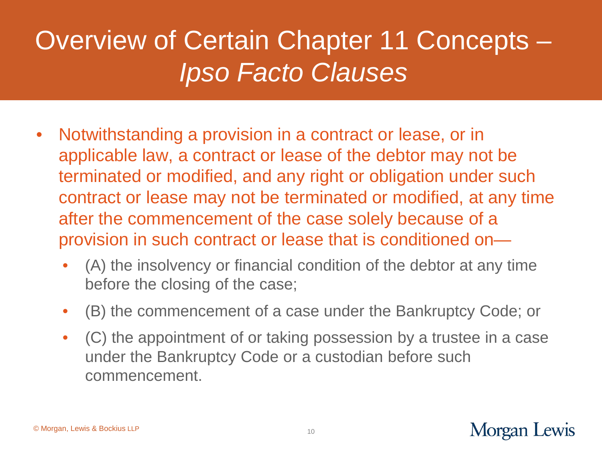## Overview of Certain Chapter 11 Concepts – *Ipso Facto Clauses*

- Notwithstanding a provision in a contract or lease, or in applicable law, a contract or lease of the debtor may not be terminated or modified, and any right or obligation under such contract or lease may not be terminated or modified, at any time after the commencement of the case solely because of a provision in such contract or lease that is conditioned on—
	- (A) the insolvency or financial condition of the debtor at any time before the closing of the case;
	- (B) the commencement of a case under the Bankruptcy Code; or
	- (C) the appointment of or taking possession by a trustee in a case under the Bankruptcy Code or a custodian before such commencement.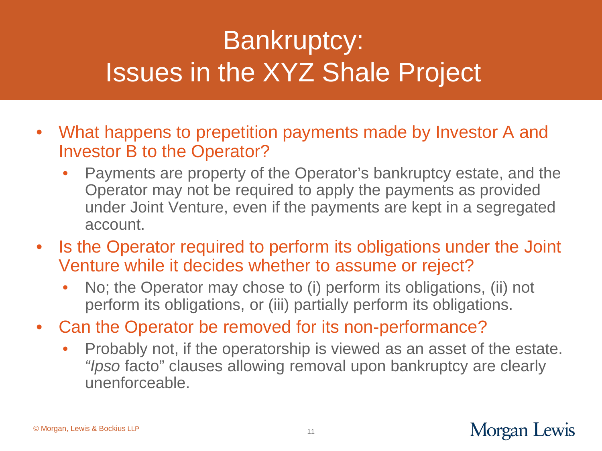# Bankruptcy: Issues in the XYZ Shale Project

- What happens to prepetition payments made by Investor A and Investor B to the Operator?
	- Payments are property of the Operator's bankruptcy estate, and the Operator may not be required to apply the payments as provided under Joint Venture, even if the payments are kept in a segregated account.
- Is the Operator required to perform its obligations under the Joint Venture while it decides whether to assume or reject?
	- No; the Operator may chose to (i) perform its obligations, (ii) not perform its obligations, or (iii) partially perform its obligations.
- Can the Operator be removed for its non-performance?
	- Probably not, if the operatorship is viewed as an asset of the estate. *"Ipso* facto" clauses allowing removal upon bankruptcy are clearly unenforceable.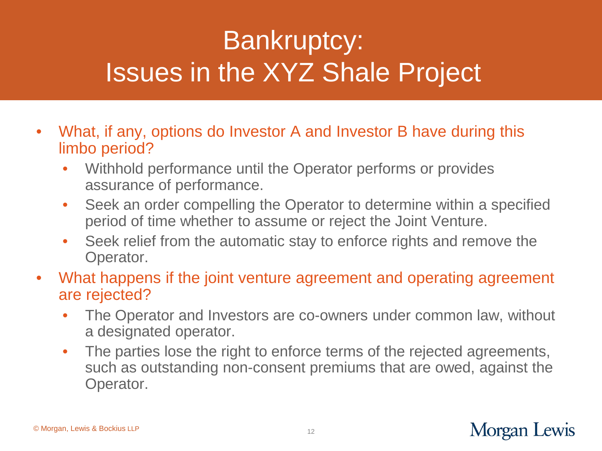# Bankruptcy: Issues in the XYZ Shale Project

- What, if any, options do Investor A and Investor B have during this limbo period?
	- Withhold performance until the Operator performs or provides assurance of performance.
	- Seek an order compelling the Operator to determine within a specified period of time whether to assume or reject the Joint Venture.
	- Seek relief from the automatic stay to enforce rights and remove the Operator.
- What happens if the joint venture agreement and operating agreement are rejected?
	- The Operator and Investors are co-owners under common law, without a designated operator.
	- The parties lose the right to enforce terms of the rejected agreements, such as outstanding non-consent premiums that are owed, against the Operator.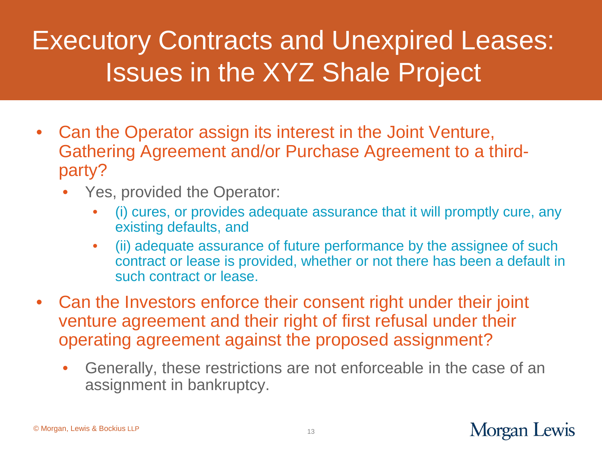## Executory Contracts and Unexpired Leases: Issues in the XYZ Shale Project

- Can the Operator assign its interest in the Joint Venture, Gathering Agreement and/or Purchase Agreement to a thirdparty?
	- Yes, provided the Operator:
		- (i) cures, or provides adequate assurance that it will promptly cure, any existing defaults, and
		- (ii) adequate assurance of future performance by the assignee of such contract or lease is provided, whether or not there has been a default in such contract or lease.
- Can the Investors enforce their consent right under their joint venture agreement and their right of first refusal under their operating agreement against the proposed assignment?
	- Generally, these restrictions are not enforceable in the case of an assignment in bankruptcy.

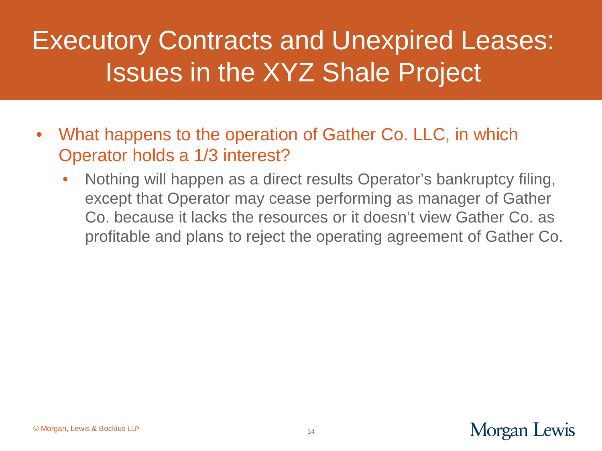## Executory Contracts and Unexpired Leases: Issues in the XYZ Shale Project

- What happens to the operation of Gather Co. LLC, in which Operator holds a 1/3 interest?
	- Nothing will happen as a direct results Operator's bankruptcy filing, except that Operator may cease performing as manager of Gather Co. because it lacks the resources or it doesn't view Gather Co. as profitable and plans to reject the operating agreement of Gather Co.

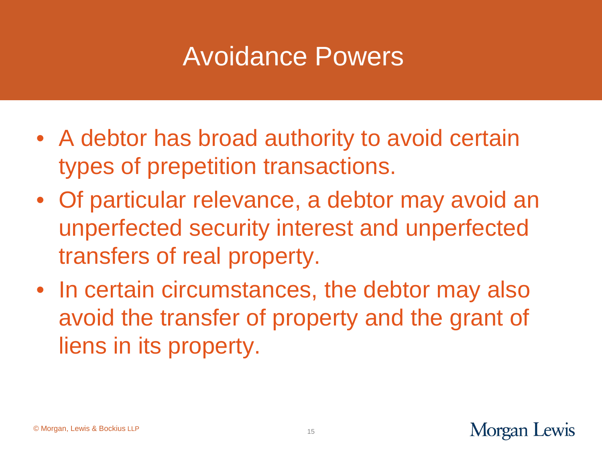#### Avoidance Powers

- A debtor has broad authority to avoid certain types of prepetition transactions.
- Of particular relevance, a debtor may avoid an unperfected security interest and unperfected transfers of real property.
- In certain circumstances, the debtor may also avoid the transfer of property and the grant of liens in its property.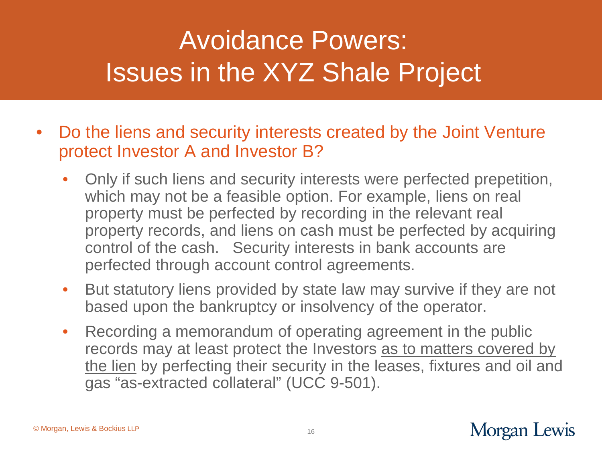## Avoidance Powers: Issues in the XYZ Shale Project

- Do the liens and security interests created by the Joint Venture protect Investor A and Investor B?
	- Only if such liens and security interests were perfected prepetition, which may not be a feasible option. For example, liens on real property must be perfected by recording in the relevant real property records, and liens on cash must be perfected by acquiring control of the cash. Security interests in bank accounts are perfected through account control agreements.
	- But statutory liens provided by state law may survive if they are not based upon the bankruptcy or insolvency of the operator.
	- Recording a memorandum of operating agreement in the public records may at least protect the Investors as to matters covered by the lien by perfecting their security in the leases, fixtures and oil and gas "as-extracted collateral" (UCC 9-501).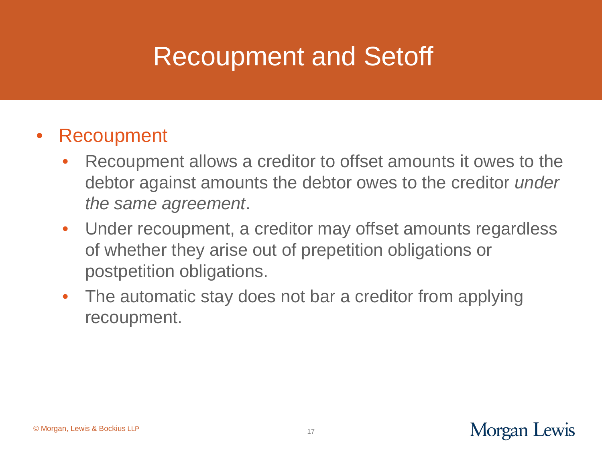## Recoupment and Setoff

#### **Recoupment**

- Recoupment allows a creditor to offset amounts it owes to the debtor against amounts the debtor owes to the creditor *under the same agreement*.
- Under recoupment, a creditor may offset amounts regardless of whether they arise out of prepetition obligations or postpetition obligations.
- The automatic stay does not bar a creditor from applying recoupment.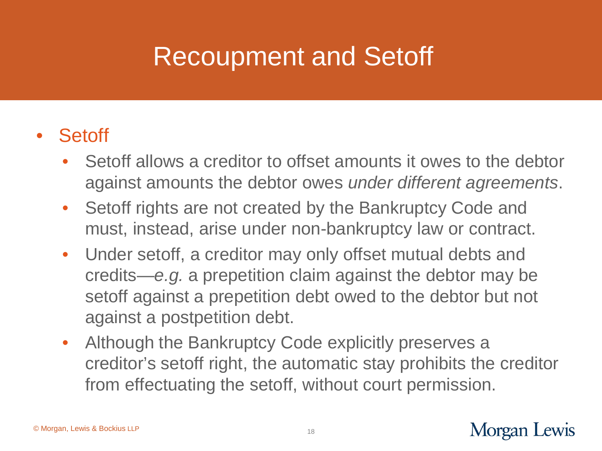## Recoupment and Setoff

#### • Setoff

- Setoff allows a creditor to offset amounts it owes to the debtor against amounts the debtor owes *under different agreements*.
- Setoff rights are not created by the Bankruptcy Code and must, instead, arise under non-bankruptcy law or contract.
- Under setoff, a creditor may only offset mutual debts and credits—*e.g.* a prepetition claim against the debtor may be setoff against a prepetition debt owed to the debtor but not against a postpetition debt.
- Although the Bankruptcy Code explicitly preserves a creditor's setoff right, the automatic stay prohibits the creditor from effectuating the setoff, without court permission.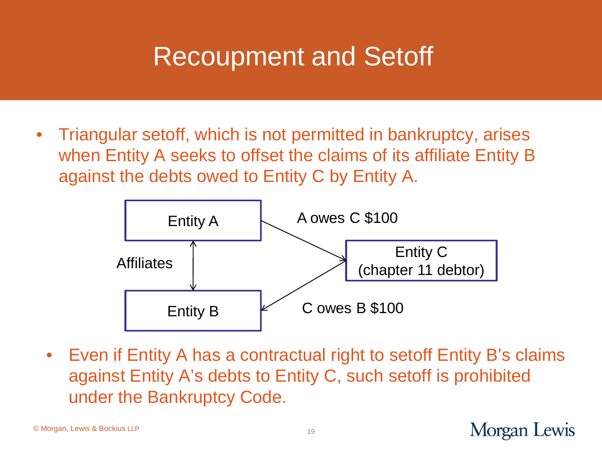#### Recoupment and Setoff

• Triangular setoff, which is not permitted in bankruptcy, arises when Entity A seeks to offset the claims of its affiliate Entity B against the debts owed to Entity C by Entity A.



• Even if Entity A has a contractual right to setoff Entity B's claims against Entity A's debts to Entity C, such setoff is prohibited under the Bankruptcy Code.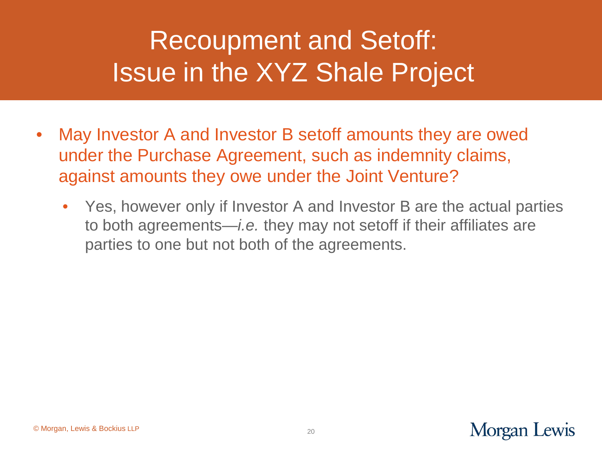## Recoupment and Setoff: Issue in the XYZ Shale Project

- May Investor A and Investor B setoff amounts they are owed under the Purchase Agreement, such as indemnity claims, against amounts they owe under the Joint Venture?
	- Yes, however only if Investor A and Investor B are the actual parties to both agreements—*i.e.* they may not setoff if their affiliates are parties to one but not both of the agreements.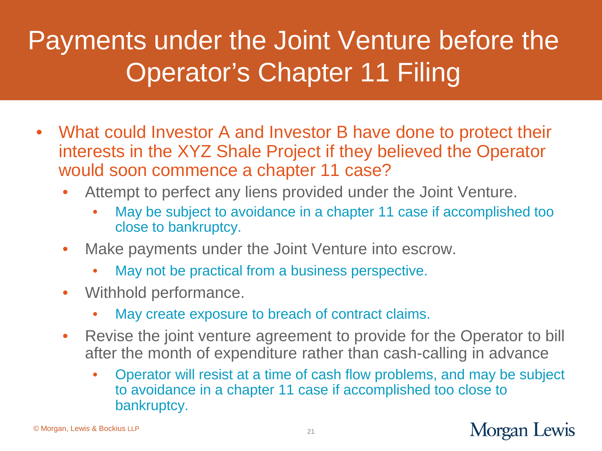# Payments under the Joint Venture before the Operator's Chapter 11 Filing

- What could Investor A and Investor B have done to protect their interests in the XYZ Shale Project if they believed the Operator would soon commence a chapter 11 case?
	- Attempt to perfect any liens provided under the Joint Venture.
		- May be subject to avoidance in a chapter 11 case if accomplished too close to bankruptcy.
	- Make payments under the Joint Venture into escrow.
		- May not be practical from a business perspective.
	- Withhold performance.
		- May create exposure to breach of contract claims.
	- Revise the joint venture agreement to provide for the Operator to bill after the month of expenditure rather than cash-calling in advance
		- Operator will resist at a time of cash flow problems, and may be subject to avoidance in a chapter 11 case if accomplished too close to bankruptcy.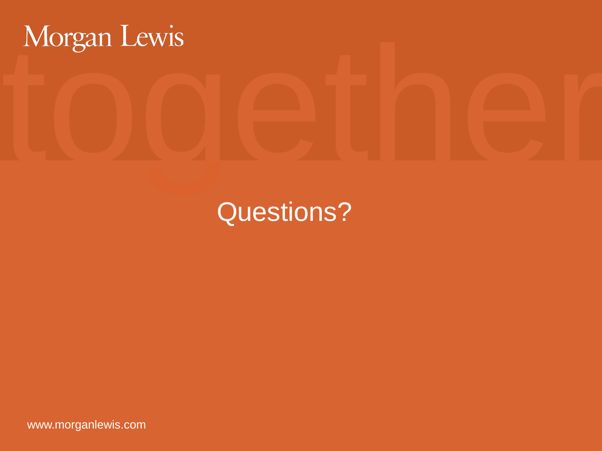# together

#### Questions?

www.morganlewis.com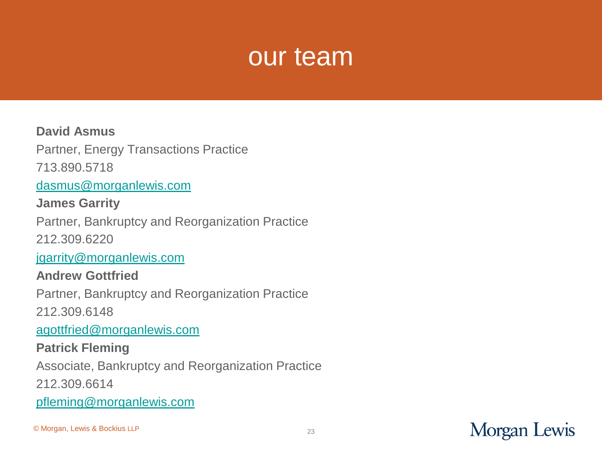#### our team

#### **David Asmus**

Partner, Energy Transactions Practice

713.890.5718

[dasmus@morganlewis.com](mailto:dasmus@morganlewis.com)

**James Garrity** 

Partner, Bankruptcy and Reorganization Practice

212.309.6220

[jgarrity@morganlewis.com](mailto:jgarrity@morganlewis.com)

#### **Andrew Gottfried**

Partner, Bankruptcy and Reorganization Practice

212.309.6148

[agottfried@morganlewis.com](mailto:agottfried@morganlewis.com)

#### **Patrick Fleming**

Associate, Bankruptcy and Reorganization Practice

212.309.6614

[pfleming@morganlewis.com](mailto:pfleming@morganlewis.com)

© Morgan, Lewis & Bockius LLP